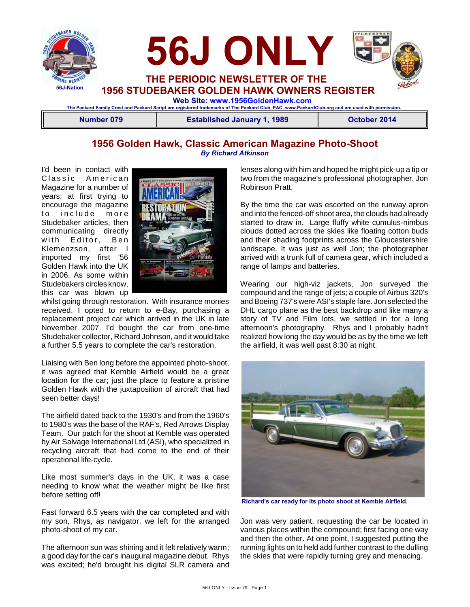



**1956 STUDEBAKER GOLDEN HAWK OWNERS REGISTER**

 **Web Site: [www.1956GoldenHawk.com](http://www.1956GoldenHawk.com) The Packard Family Crest and Packard Script are registered trademarks of The Packard Club, PAC, www.PackardClub.org and are used with permission.** 

**Number 079 Established January 1, 1989 October 2014**

### **1956 Golden Hawk, Classic American Magazine Photo-Shoot** *By Richard Atkinson*

I'd been in contact with Classic American Magazine for a number of years; at first trying to encourage the magazine to include more Studebaker articles, then communicating directly with Editor, Ben Klemenzson, after I imported my first '56 Golden Hawk into the UK in 2006. As some within Studebakers circles know, this car was blown up



whilst going through restoration. With insurance monies received, I opted to return to e-Bay, purchasing a replacement project car which arrived in the UK in late November 2007. I'd bought the car from one-time Studebaker collector, Richard Johnson, and it would take a further 5.5 years to complete the car's restoration.

Liaising with Ben long before the appointed photo-shoot, it was agreed that Kemble Airfield would be a great location for the car; just the place to feature a pristine Golden Hawk with the juxtaposition of aircraft that had seen better days!

The airfield dated back to the 1930's and from the 1960's to 1980's was the base of the RAF's, Red Arrows Display Team. Our patch for the shoot at Kemble was operated by Air Salvage International Ltd (ASI), who specialized in recycling aircraft that had come to the end of their operational life-cycle.

Like most summer's days in the UK, it was a case needing to know what the weather might be like first before setting off!

Fast forward 6.5 years with the car completed and with my son, Rhys, as navigator, we left for the arranged photo-shoot of my car.

The afternoon sun was shining and it felt relatively warm; a good day for the car's inaugural magazine debut. Rhys was excited; he'd brought his digital SLR camera and lenses along with him and hoped he might pick-up a tip or two from the magazine's professional photographer, Jon Robinson Pratt.

By the time the car was escorted on the runway apron and into the fenced-off shoot area, the clouds had already started to draw in. Large fluffy white cumulus-nimbus clouds dotted across the skies like floating cotton buds and their shading footprints across the Gloucestershire landscape. It was just as well Jon; the photographer arrived with a trunk full of camera gear, which included a range of lamps and batteries.

Wearing our high-viz jackets, Jon surveyed the compound and the range of jets; a couple of Airbus 320's and Boeing 737's were ASI's staple fare. Jon selected the DHL cargo plane as the best backdrop and like many a story of TV and Film lots, we settled in for a long afternoon's photography. Rhys and I probably hadn't realized how long the day would be as by the time we left the airfield, it was well past 8:30 at night.



**Richard's car ready for its photo shoot at Kemble Airfield.**

Jon was very patient, requesting the car be located in various places within the compound; first facing one way and then the other. At one point, I suggested putting the running lights on to held add further contrast to the dulling the skies that were rapidly turning grey and menacing.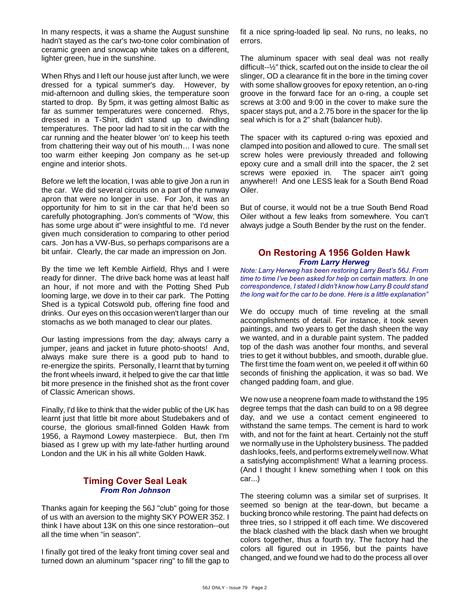In many respects, it was a shame the August sunshine hadn't stayed as the car's two-tone color combination of ceramic green and snowcap white takes on a different, lighter green, hue in the sunshine.

When Rhys and I left our house just after lunch, we were dressed for a typical summer's day. However, by mid-afternoon and dulling skies, the temperature soon started to drop. By 5pm, it was getting almost Baltic as far as summer temperatures were concerned. Rhys, dressed in a T-Shirt, didn't stand up to dwindling temperatures. The poor lad had to sit in the car with the car running and the heater blower 'on' to keep his teeth from chattering their way out of his mouth… I was none too warm either keeping Jon company as he set-up engine and interior shots.

Before we left the location, I was able to give Jon a run in the car. We did several circuits on a part of the runway apron that were no longer in use. For Jon, it was an opportunity for him to sit in the car that he'd been so carefully photographing. Jon's comments of "Wow, this has some urge about it" were insightful to me. I'd never given much consideration to comparing to other period cars. Jon has a VW-Bus, so perhaps comparisons are a bit unfair. Clearly, the car made an impression on Jon.

By the time we left Kemble Airfield, Rhys and I were ready for dinner. The drive back home was at least half an hour, if not more and with the Potting Shed Pub looming large, we dove in to their car park. The Potting Shed is a typical Cotswold pub, offering fine food and drinks. Our eyes on this occasion weren't larger than our stomachs as we both managed to clear our plates.

Our lasting impressions from the day; always carry a jumper, jeans and jacket in future photo-shoots! And, always make sure there is a good pub to hand to re-energize the spirits. Personally, I learnt that by turning the front wheels inward, it helped to give the car that little bit more presence in the finished shot as the front cover of Classic American shows.

Finally, I'd like to think that the wider public of the UK has learnt just that little bit more about Studebakers and of course, the glorious small-finned Golden Hawk from 1956, a Raymond Lowey masterpiece. But, then I'm biased as I grew up with my late-father hurtling around London and the UK in his all white Golden Hawk.

#### **Timing Cover Seal Leak** *From Ron Johnson*

Thanks again for keeping the 56J "club" going for those of us with an aversion to the mighty SKY POWER 352. I think I have about 13K on this one since restoration--out all the time when "in season".

I finally got tired of the leaky front timing cover seal and turned down an aluminum "spacer ring" to fill the gap to fit a nice spring-loaded lip seal. No runs, no leaks, no errors.

The aluminum spacer with seal deal was not really difficult--½" thick, scarfed out on the inside to clear the oil slinger, OD a clearance fit in the bore in the timing cover with some shallow grooves for epoxy retention, an o-ring groove in the forward face for an o-ring, a couple set screws at 3:00 and 9:00 in the cover to make sure the spacer stays put, and a 2.75 bore in the spacer for the lip seal which is for a 2" shaft (balancer hub).

The spacer with its captured o-ring was epoxied and clamped into position and allowed to cure. The small set screw holes were previously threaded and following epoxy cure and a small drill into the spacer, the 2 set screws were epoxied in. The spacer ain't going anywhere!! And one LESS leak for a South Bend Road Oiler.

But of course, it would not be a true South Bend Road Oiler without a few leaks from somewhere. You can't always judge a South Bender by the rust on the fender.

#### **On Restoring A 1956 Golden Hawk** *From Larry Herweg*

*Note: Larry Herweg has been restoring Larry Best's 56J. From time to time I've been asked for help on certain matters. In one correspondence, I stated I didn't know how Larry B could stand the long wait for the car to be done. Here is a little explanation"*

We do occupy much of time reveling at the small accomplishments of detail. For instance, it took seven paintings, and two years to get the dash sheen the way we wanted, and in a durable paint system. The padded top of the dash was another four months, and several tries to get it without bubbles, and smooth, durable glue. The first time the foam went on, we peeled it off within 60 seconds of finishing the application, it was so bad. We changed padding foam, and glue.

We now use a neoprene foam made to withstand the 195 degree temps that the dash can build to on a 98 degree day, and we use a contact cement engineered to withstand the same temps. The cement is hard to work with, and not for the faint at heart. Certainly not the stuff we normally use in the Upholstery business. The padded dash looks, feels, and performs extremely well now. What a satisfying accomplishment! What a learning process. (And I thought I knew something when I took on this car...)

The steering column was a similar set of surprises. It seemed so benign at the tear-down, but became a bucking bronco while restoring. The paint had defects on three tries, so I stripped it off each time. We discovered the black clashed with the black dash when we brought colors together, thus a fourth try. The factory had the colors all figured out in 1956, but the paints have changed, and we found we had to do the process all over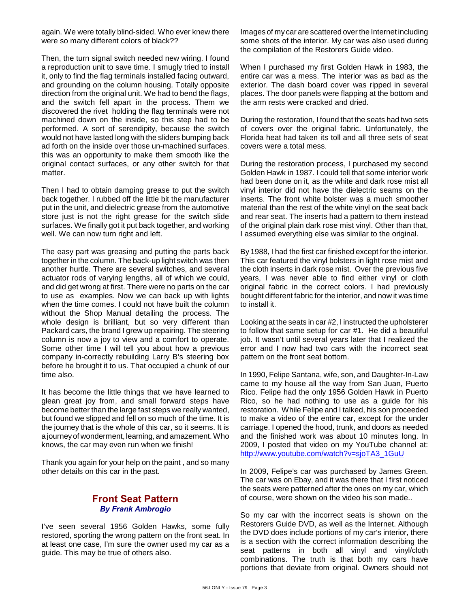again. We were totally blind-sided. Who ever knew there were so many different colors of black??

Then, the turn signal switch needed new wiring. I found a reproduction unit to save time. I smugly tried to install it, only to find the flag terminals installed facing outward, and grounding on the column housing. Totally opposite direction from the original unit. We had to bend the flags, and the switch fell apart in the process. Them we discovered the rivet holding the flag terminals were not machined down on the inside, so this step had to be performed. A sort of serendipity, because the switch would not have lasted long with the sliders bumping back ad forth on the inside over those un-machined surfaces. this was an opportunity to make them smooth like the original contact surfaces, or any other switch for that matter.

Then I had to obtain damping grease to put the switch back together. I rubbed off the little bit the manufacturer put in the unit, and dielectric grease from the automotive store just is not the right grease for the switch slide surfaces. We finally got it put back together, and working well. We can now turn right and left.

The easy part was greasing and putting the parts back together in the column. The back-up light switch was then another hurtle. There are several switches, and several actuator rods of varying lengths, all of which we could, and did get wrong at first. There were no parts on the car to use as examples. Now we can back up with lights when the time comes. I could not have built the column without the Shop Manual detailing the process. The whole design is brilliant, but so very different than Packard cars, the brand I grew up repairing. The steering column is now a joy to view and a comfort to operate. Some other time I will tell you about how a previous company in-correctly rebuilding Larry B's steering box before he brought it to us. That occupied a chunk of our time also.

It has become the little things that we have learned to glean great joy from, and small forward steps have become better than the large fast steps we really wanted, but found we slipped and fell on so much of the time. It is the journey that is the whole of this car, so it seems. It is a journey of wonderment, learning, and amazement. Who knows, the car may even run when we finish!

Thank you again for your help on the paint , and so many other details on this car in the past.

### **Front Seat Pattern** *By Frank Ambrogio*

I've seen several 1956 Golden Hawks, some fully restored, sporting the wrong pattern on the front seat. In at least one case, I'm sure the owner used my car as a guide. This may be true of others also.

Images of my car are scattered over the Internet including some shots of the interior. My car was also used during the compilation of the Restorers Guide video.

When I purchased my first Golden Hawk in 1983, the entire car was a mess. The interior was as bad as the exterior. The dash board cover was ripped in several places. The door panels were flapping at the bottom and the arm rests were cracked and dried.

During the restoration, I found that the seats had two sets of covers over the original fabric. Unfortunately, the Florida heat had taken its toll and all three sets of seat covers were a total mess.

During the restoration process, I purchased my second Golden Hawk in 1987. I could tell that some interior work had been done on it, as the white and dark rose mist all vinyl interior did not have the dielectric seams on the inserts. The front white bolster was a much smoother material than the rest of the white vinyl on the seat back and rear seat. The inserts had a pattern to them instead of the original plain dark rose mist vinyl. Other than that, I assumed everything else was similar to the original.

By 1988, I had the first car finished except for the interior. This car featured the vinyl bolsters in light rose mist and the cloth inserts in dark rose mist. Over the previous five years, I was never able to find either vinyl or cloth original fabric in the correct colors. I had previously bought different fabric for the interior, and now it was time to install it.

Looking at the seats in car #2, I instructed the upholsterer to follow that same setup for car #1. He did a beautiful job. It wasn't until several years later that I realized the error and I now had two cars with the incorrect seat pattern on the front seat bottom.

In 1990, Felipe Santana, wife, son, and Daughter-In-Law came to my house all the way from San Juan, Puerto Rico. Felipe had the only 1956 Golden Hawk in Puerto Rico, so he had nothing to use as a guide for his restoration. While Felipe and I talked, his son proceeded to make a video of the entire car, except for the under carriage. I opened the hood, trunk, and doors as needed and the finished work was about 10 minutes long. In 2009, I posted that video on my YouTube channel at: [http://www.youtube.com/watch?v=sjoTA3\\_1GuU](http://www.youtube.com/watch?v=sjoTA3_1GuU)

In 2009, Felipe's car was purchased by James Green. The car was on Ebay, and it was there that I first noticed the seats were patterned after the ones on my car, which of course, were shown on the video his son made..

So my car with the incorrect seats is shown on the Restorers Guide DVD, as well as the Internet. Although the DVD does include portions of my car's interior, there is a section with the correct information describing the seat patterns in both all vinyl and vinyl/cloth combinations. The truth is that both my cars have portions that deviate from original. Owners should not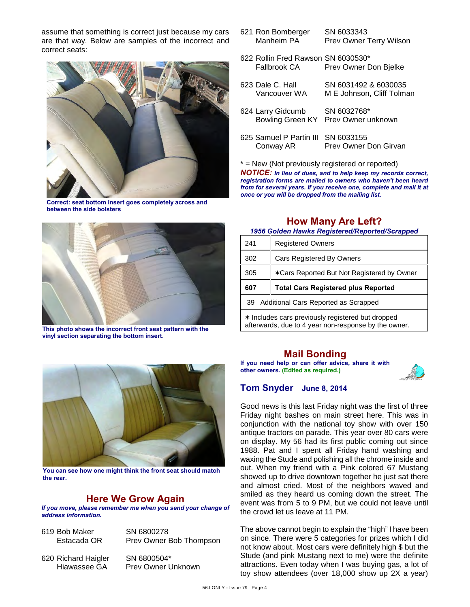assume that something is correct just because my cars are that way. Below are samples of the incorrect and correct seats:



**Correct: seat bottom insert goes completely across and between the side bolsters**



**This photo shows the incorrect front seat pattern with the vinyl section separating the bottom insert.**



**You can see how one might think the front seat should match the rear.**

## **Here We Grow Again**

*If you move, please remember me when you send your change of address information.*

619 Bob Maker SN 6800278

Estacada OR Prev Owner Bob Thompson

620 Richard Haigler SN 6800504\*

Hiawassee GA Prev Owner Unknown

- 621 Ron Bomberger SN 6033343 Manheim PA Prev Owner Terry Wilson
- 622 Rollin Fred Rawson SN 6030530\* Fallbrook CA Prev Owner Don Bjelke
- 623 Dale C. Hall SN 6031492 & 6030035 M E Johnson, Cliff Tolman 624 Larry Gidcumb SN 6032768\* Bowling Green KY Prev Owner unknown 625 Samuel P Partin III SN 6033155
	- Conway AR Prev Owner Don Girvan

\* = New (Not previously registered or reported)

*NOTICE: In lieu of dues, and to help keep my records correct, registration forms are mailed to owners who haven't been heard from for several years. If you receive one, complete and mail it at once or you will be dropped from the mailing list.*

#### **How Many Are Left?** *1956 Golden Hawks Registered/Reported/Scrapped*

| 241                                               | <b>Registered Owners</b>                   |
|---------------------------------------------------|--------------------------------------------|
| 302                                               | <b>Cars Registered By Owners</b>           |
| 305                                               | *Cars Reported But Not Registered by Owner |
| 607                                               | <b>Total Cars Registered plus Reported</b> |
| Additional Cars Reported as Scrapped<br>39        |                                            |
| * Includes cars previously registered but dropped |                                            |

afterwards, due to 4 year non-response by the owner.

## **Mail Bonding**

**If you need help or can offer advice, share it with other owners. (Edited as required.)**



### **Tom Snyder June 8, 2014**

Good news is this last Friday night was the first of three Friday night bashes on main street here. This was in conjunction with the national toy show with over 150 antique tractors on parade. This year over 80 cars were on display. My 56 had its first public coming out since 1988. Pat and I spent all Friday hand washing and waxing the Stude and polishing all the chrome inside and out. When my friend with a Pink colored 67 Mustang showed up to drive downtown together he just sat there and almost cried. Most of the neighbors waved and smiled as they heard us coming down the street. The event was from 5 to 9 PM, but we could not leave until the crowd let us leave at 11 PM.

The above cannot begin to explain the "high" I have been on since. There were 5 categories for prizes which I did not know about. Most cars were definitely high \$ but the Stude (and pink Mustang next to me) were the definite attractions. Even today when I was buying gas, a lot of toy show attendees (over 18,000 show up 2X a year)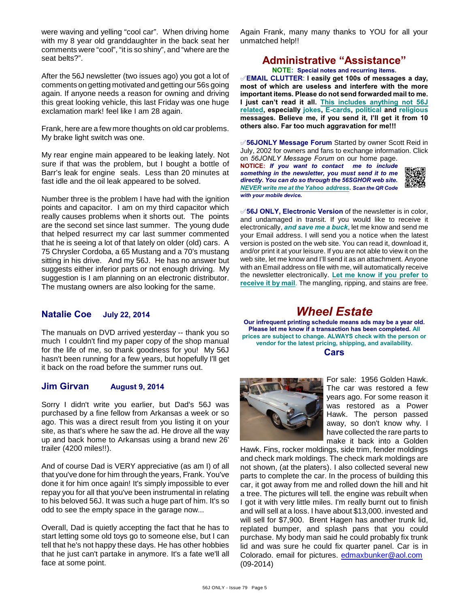were waving and yelling "cool car". When driving home with my 8 year old granddaughter in the back seat her comments were "cool", "it is so shiny", and "where are the seat belts?".

After the 56J newsletter (two issues ago) you got a lot of comments on getting motivated and getting our 56s going again. If anyone needs a reason for owning and driving this great looking vehicle, this last Friday was one huge exclamation mark! feel like I am 28 again.

Frank, here are a few more thoughts on old car problems. My brake light switch was one.

My rear engine main appeared to be leaking lately. Not sure if that was the problem, but I bought a bottle of Barr's leak for engine seals. Less than 20 minutes at fast idle and the oil leak appeared to be solved.

Number three is the problem I have had with the ignition points and capacitor. I am on my third capacitor which really causes problems when it shorts out. The points are the second set since last summer. The young dude that helped resurrect my car last summer commented that he is seeing a lot of that lately on older (old) cars. A 75 Chrysler Cordoba, a 65 Mustang and a 70's mustang sitting in his drive. And my 56J. He has no answer but suggests either inferior parts or not enough driving. My suggestion is I am planning on an electronic distributor. The mustang owners are also looking for the same.

#### **Natalie Coe July 22, 2014**

The manuals on DVD arrived yesterday -- thank you so much I couldn't find my paper copy of the shop manual for the life of me, so thank goodness for you! My 56J hasn't been running for a few years, but hopefully I'll get it back on the road before the summer runs out.

#### **Jim Girvan August 9, 2014**

Sorry I didn't write you earlier, but Dad's 56J was purchased by a fine fellow from Arkansas a week or so ago. This was a direct result from you listing it on your site, as that's where he saw the ad. He drove all the way up and back home to Arkansas using a brand new 26' trailer (4200 miles!!).

And of course Dad is VERY appreciative (as am I) of all that you've done for him through the years, Frank. You've done it for him once again! It's simply impossible to ever repay you for all that you've been instrumental in relating to his beloved 56J. It was such a huge part of him. It's so odd to see the empty space in the garage now...

Overall, Dad is quietly accepting the fact that he has to start letting some old toys go to someone else, but I can tell that he's not happy these days. He has other hobbies that he just can't partake in anymore. It's a fate we'll all face at some point.

Again Frank, many many thanks to YOU for all your unmatched help!!

## **Administrative "Assistance"**

**NOTE: Special notes and recurring items.**

°**EMAIL CLUTTER**: **I easily get 100s of messages a day, most of which are useless and interfere with the more important items. Please do not send forwarded mail to me. I just can't read it all. This includes anything not 56J related, especially jokes, E-cards, political and religious messages. Believe me, if you send it, I'll get it from 10 others also. Far too much aggravation for me!!!**

°**56JONLY Message Forum** Started by owner Scott Reid in July, 2002 for owners and fans to exchange information. Click on *56JONLY Message Forum* on our home page.

**NOTICE:** *If you want to contact me to include something in the newsletter, you must send it to me directly. You can do so through the 56SGHOR web site. NEVER write me at the Yahoo address. Scan the QR Code with your mobile device.* 



°**56J ONLY, Electronic Version** of the newsletter is in color, and undamaged in transit. If you would like to receive it electronically, *and save me a buck*, let me know and send me your Email address. I will send you a notice when the latest version is posted on the web site. You can read it, download it, and/or print it at your leisure. If you are not able to view it on the web site, let me know and I'll send it as an attachment. Anyone with an Email address on file with me, will automatically receive the newsletter electronically. **Let me know if you prefer to receive it by mail**. The mangling, ripping, and stains are free.

# *Wheel Estate*

**Our infrequent printing schedule means ads may be a year old. Please let me know if a transaction has been completed. All prices are subject to change. ALWAYS check with the person or vendor for the latest pricing, shipping, and availability. Cars**



For sale: 1956 Golden Hawk. The car was restored a few years ago. For some reason it was restored as a Power Hawk. The person passed away, so don't know why. I have collected the rare parts to make it back into a Golden

Hawk. Fins, rocker moldings, side trim, fender moldings and check mark moldings. The check mark moldings are not shown, (at the platers). I also collected several new parts to complete the car. In the process of building this car, it got away from me and rolled down the hill and hit a tree. The pictures will tell. the engine was rebuilt when I got it with very little miles. I'm really burnt out to finish and will sell at a loss. I have about \$13,000. invested and will sell for \$7,900. Brent Hagen has another trunk lid, replated bumper, and splash pans that you could purchase. My body man said he could probably fix trunk lid and was sure he could fix quarter panel. Car is in Colorado. email for pictures. [edmaxbunker@aol.com](mailto:edmaxbunker@aol.com) (09-2014)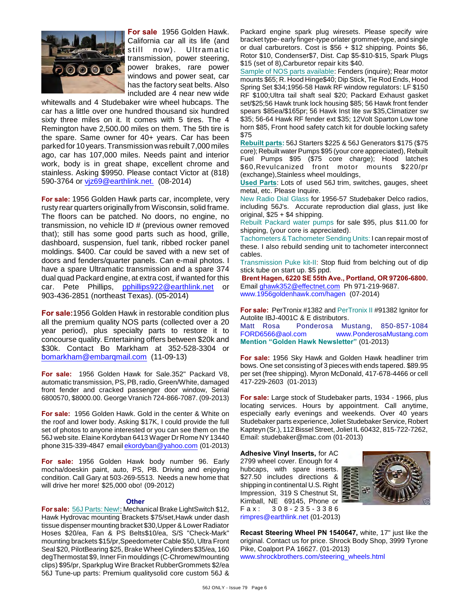

**For sale** 1956 Golden Hawk. California car all its life (and still now). Ultramatic transmission, power steering, power brakes, rare power windows and power seat, car has the factory seat belts. Also included are 4 near new wide

whitewalls and 4 Studebaker wire wheel hubcaps. The car has a little over one hundred thousand six hundred sixty three miles on it. It comes with 5 tires. The 4 Remington have 2,500.00 miles on them. The 5th tire is the spare. Same owner for 40+ years. Car has been parked for 10 years. Transmission was rebuilt 7,000 miles ago, car has 107,000 miles. Needs paint and interior work, body is in great shape, excellent chrome and stainless. Asking \$9950. Please contact Victor at (818) 590-3764 or [vjz69@earthlink.net.](mailto:vjz69@earthlink.net.) (08-2014)

**For sale:** 1956 Golden Hawk parts car, incomplete, very rusty rear quarters originally from Wisconsin, solid frame. The floors can be patched. No doors, no engine, no transmission, no vehicle ID # (previous owner removed that); still has some good parts such as hood, grille, dashboard, suspension, fuel tank, ribbed rocker panel moldings. \$400. Car could be saved with a new set of doors and fenders/quarter panels. Can e-mail photos. I have a spare Ultramatic transmission and a spare 374 dual quad Packard engine, at extra cost, if wanted for this car. Pete Phillips, [pphillips922@earthlink.net](mailto:pphillips922@earthlink.net) or 903-436-2851 (northeast Texas). (05-2014)

**For sale:**1956 Golden Hawk in restorable condition plus all the premium quality NOS parts (collected over a 20 year period), plus specialty parts to restore it to concourse quality. Entertaining offers between \$20k and \$30k. Contact Bo Markham at 352-528-3304 or [bomarkham@embarqmail.com](mailto:bomarkham@embarqmail.com) (11-09-13)

**For sale:** 1956 Golden Hawk for Sale.352" Packard V8, automatic transmission, PS, PB, radio, Green/White, damaged front fender and cracked passenger door window, Serial 6800570, \$8000.00. George Vranich 724-866-7087. (09-2013)

**For sale:** 1956 Golden Hawk. Gold in the center & White on the roof and lower body. Asking \$17K, I could provide the full set of photos to anyone interested or you can see them on the 56J web site. Elaine Kordyban 6413 Wager Dr Rome NY 13440 phone 315-339-4847 email [ekordyban@yahoo.com](mailto:ekordyban@yahoo.com) (01-2013)

**For sale:** 1956 Golden Hawk body number 96. Early mocha/doeskin paint, auto, PS, PB. Driving and enjoying condition. Call Gary at 503-269-5513. Needs a new home that will drive her more! \$25,000 obo! (09-2012)

#### **Other**

**For sale:** 56J Parts: New!: Mechanical Brake LightSwitch \$12, Hawk Hydrovac mounting Brackets \$75/set,Hawk under dash tissue dispenser mounting bracket \$30,Upper & Lower Radiator Hoses \$20/ea, Fan & PS Belts\$10/ea, S/S "Check-Mark" mounting brackets \$15/pr,Speedometer Cable \$50, Ultra Front Seal \$20, PilotBearing \$25, Brake Wheel Cylinders \$35/ea, 160 degThermostat \$9, Inner Fin mouldings (C-Chromew/mounting clips) \$95/pr, Sparkplug Wire Bracket RubberGrommets \$2/ea 56J Tune-up parts: Premium qualitysolid core custom 56J & Packard engine spark plug wiresets. Please specify wire bracket type- early finger-type orlater grommet-type, and single or dual carburetors. Cost is \$56 + \$12 shipping. Points \$6, Rotor \$10, Condenser\$7, Dist. Cap \$5-\$10-\$15, Spark Plugs \$15 (set of 8),Carburetor repair kits \$40.

Sample of NOS parts available: Fenders (inquire); Rear motor mounts \$65; R. Hood Hinge\$40; Dip Stick, Tie Rod Ends, Hood Spring Set \$34;1956-58 Hawk RF window regulators: LF \$150 RF \$100;Ultra tail shaft seal \$20; Packard Exhaust gasket set/\$25;56 Hawk trunk lock housing \$85; 56 Hawk front fender spears \$85ea/\$165pr; 56 Hawk Inst lite sw \$35,Climatizer sw \$35; 56-64 Hawk RF fender ext \$35; 12Volt Sparton Low tone horn \$85, Front hood safety catch kit for double locking safety \$75

**Rebuilt parts:** 56J Starters \$225 & 56J Generators \$175 (\$75 core); Rebuilt water Pumps \$95 (your core appreciated), Rebuilt Fuel Pumps \$95 (\$75 core charge); Hood latches \$60,Revulcanized front motor mounts \$220/pr (exchange),Stainless wheel mouldings,

**Used Parts**: Lots of used 56J trim, switches, gauges, sheet metal, etc. Please Inquire.

New Radio Dial Glass for 1956-57 Studebaker Delco radios, including 56J's. Accurate reproduction dial glass, just like original, \$25 + \$4 shipping.

Rebuilt Packard water pumps for sale \$95, plus \$11.00 for shipping, (your core is appreciated).

Tachometers & Tachometer Sending Units: I can repair most of these. I also rebuild sending unit to tachometer interconnect cables.

Transmission Puke kit-II: Stop fluid from belching out of dip stick tube on start up. \$5 ppd.

**Brent Hagen, 6220 SE 55th Ave., Portland, OR 97206-6800.** Email [ghawk352@effectnet.com](mailto:ghawk352@effectnet.com) Ph 971-219-9687. www.1956goldenhawk.com/hagen (07-2014)

**For sale:** PerTronix #1382 and PerTronix II #91382 Ignitor for Autolite IBJ-4001C & E distributors.

Matt Rosa Ponderosa Mustang, 850-857-1084<br>FORD6566@aol.com www.PonderosaMustang.com [www.PonderosaMustang.com](http://www.PonderosaMustang.com) **Mention "Golden Hawk Newsletter"** (01-2013)

**For sale:** 1956 Sky Hawk and Golden Hawk headliner trim bows. One set consisting of 3 pieces with ends tapered. \$89.95 per set (free shipping). Myron McDonald, 417-678-4466 or cell 417-229-2603 (01-2013)

**For sale:** Large stock of Studebaker parts, 1934 - 1966, plus locating services. Hours by appointment. Call anytime, especially early evenings and weekends. Over 40 years Studebaker parts experience, Joliet Studebaker Service, Robert Kapteyn (Sr.), 112 Bissel Street, Joliet IL 60432, 815-722-7262, Email: studebaker@mac.com (01-2013)

#### **Adhesive Vinyl Inserts,** for AC

2799 wheel cover. Enough for 4 hubcaps, with spare inserts. \$27.50 includes directions & shipping in continental U.S. Right Impression, 319 S Chestnut St, Kimball, NE 69145, Phone or F a x : 3 0 8 - 2 3 5 - 3 3 8 6 [rimpres@earthlink.net](mailto:rimpres@earthlink.net) (01-2013)



**Recast Steering Wheel PN 1540647,** white, 17" just like the original. Contact us for price. Shrock Body Shop, 3999 Tyrone Pike, Coalport PA 16627. (01-2013) [www.shrockbrothers.com/steering\\_wheels.html](http://www.shrockbrothers.com/steering_wheels.html)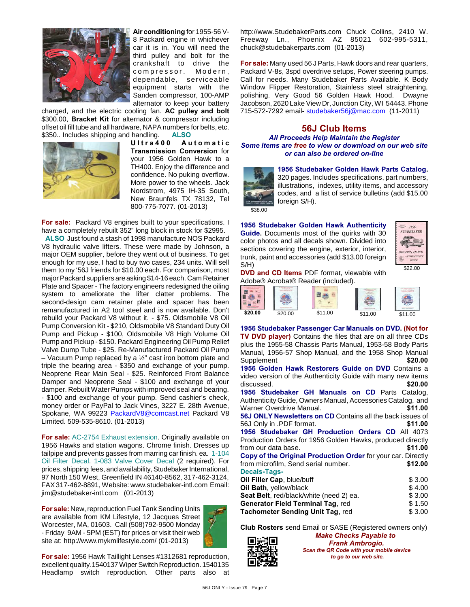

**Air conditioning** for 1955-56 V-8 Packard engine in whichever car it is in. You will need the third pulley and bolt for the crankshaft to drive the compressor. Modern, dependable, serviceable equipment starts with the Sanden compressor, 100-AMP alternator to keep your battery

charged, and the electric cooling fan. **AC pulley and bolt** \$300.00, **Bracket Kit** for alternator & compressor including offset oil fill tube and all hardware, NAPA numbers for belts, etc. \$350.. Includes shipping and handling. **ALSO**



**U l t r a 4 0 0 A u t o m a t i c Transmission Conversion** for your 1956 Golden Hawk to a TH400. Enjoy the difference and confidence. No puking overflow. More power to the wheels. Jack Nordstrom, 4975 IH-35 South, New Braunfels TX 78132, Tel 800-775-7077. (01-2013)

**For sale:** Packard V8 engines built to your specifications. I have a completely rebuilt 352" long block in stock for \$2995.

 **ALSO** Just found a stash of 1998 manufacture NOS Packard V8 hydraulic valve lifters. These were made by Johnson, a major OEM supplier, before they went out of business. To get enough for my use, I had to buy two cases, 234 units. Will sell them to my '56J friends for \$10.00 each. For comparison, most major Packard suppliers are asking \$14-16 each. Cam Retainer Plate and Spacer - The factory engineers redesigned the oiling system to ameliorate the lifter clatter problems. The second-design cam retainer plate and spacer has been remanufactured in A2 tool steel and is now available. Don't rebuild your Packard V8 without it. - \$75. Oldsmobile V8 Oil Pump Conversion Kit - \$210, Oldsmobile V8 Standard Duty Oil Pump and Pickup - \$100, Oldsmobile V8 High Volume Oil Pump and Pickup - \$150. Packard Engineering Oil Pump Relief Valve Dump Tube - \$25. Re-Manufactured Packard Oil Pump – Vacuum Pump replaced by a ½" cast iron bottom plate and triple the bearing area - \$350 and exchange of your pump. Neoprene Rear Main Seal - \$25. Reinforced Front Balance Damper and Neoprene Seal - \$100 and exchange of your damper. Rebuilt Water Pumps with improved seal and bearing. - \$100 and exchange of your pump. Send cashier's check, money order or PayPal to Jack Vines, 3227 E. 28th Avenue, Spokane, WA 99223 [PackardV8@comcast.net](mailto:PackardV8@comcast.net) Packard V8 Limited. 509-535-8610. (01-2013)

**For sale:** AC-2754 Exhaust extension. Originally available on 1956 Hawks and station wagons. Chrome finish. Dresses up tailpipe and prevents gasses from marring car finish. ea. 1-104 Oil Filter Decal. 1-083 Valve Cover Decal (2 required). For prices, shipping fees, and availability, Studebaker International, 97 North 150 West, Greenfield IN 46140-8562, 317-462-3124, FAX 317-462-8891, Website: www.studebaker-intl.com Email: jim@studebaker-intl.com (01-2013)

**For sale:** New, reproduction Fuel Tank Sending Units are available from KM Lifestyle, 12 Jacques Street Worcester, MA, 01603. Call (508)792-9500 Monday - Friday 9AM - 5PM (EST) for prices or visit their web site at: http://www.mykmlifestyle.com/ (01-2013)



**For sale:** 1956 Hawk Taillight Lenses #1312681 reproduction, excellent quality.1540137 Wiper Switch Reproduction. 1540135 Headlamp switch reproduction. Other parts also at http://www.StudebakerParts.com Chuck Collins, 2410 W. Freeway Ln., Phoenix AZ 85021 602-995-5311, chuck@studebakerparts.com (01-2013)

**For sale:** Many used 56 J Parts, Hawk doors and rear quarters, Packard V-8s, 3spd overdrive setups, Power steering pumps. Call for needs. Many Studebaker Parts Available. K Body Window Flipper Restoration, Stainless steel straightening, polishing. Very Good 56 Golden Hawk Hood. Dwayne Jacobson, 2620 Lake View Dr, Junction City, WI 54443. Phone 715-572-7292 email- [studebaker56j@mac.com](mailto:studebaker56j@mac.com) (11-2011)

#### **56J Club Items**

*All Proceeds Help Maintain the Register Some Items are free to view or download on our web site or can also be ordered on-line*



**1956 Studebaker Golden Hawk Parts Catalog.**

320 pages. Includes specifications, part numbers, illustrations, indexes, utility items, and accessory codes, and a list of service bulletins (add \$15.00 foreign S/H).

**1956 Studebaker Golden Hawk Authenticity Guide.** Documents most of the quirks with 30 color photos and all decals shown. Divided into sections covering the engine, exterior, interior, trunk, paint and accessories (add \$13.00 foreign S/H)



**DVD and CD Items** PDF format, viewable with Adobe® Acrobat® Reader (included).

**1956 Studebaker Passenger Car Manuals on DVD. (Not for TV DVD player)** Contains the files that are on all three CDs plus the 1955-58 Chassis Parts Manual, 1953-58 Body Parts Manual, 1956-57 Shop Manual, and the 1958 Shop Manual Supplement **\$20.00 1956 Golden Hawk Restorers Guide on DVD** Contains a

video version of the Authenticity Guide with many new items discussed. **\$20.00 1956 Studebaker GH Manuals on CD** Parts Catalog, Authenticity Guide, Owners Manual, Accessories Catalog, and Warner Overdrive Manual. **\$11.00 56J ONLY Newsletters on CD** Contains all the back issues of 56J Only in .PDF format. **\$11.00 1956 Studebaker GH Production Orders CD** All 4073 Production Orders for 1956 Golden Hawks, produced directly from our data base. **\$11.00 Copy of the Original Production Order** for your car. Directly from microfilm, Send serial number. **\$12.00 Decals-Tags-Oil Filler Cap**, blue/buff  $$3.00$ **Oil Bath**, yellow/black  $$ 4.00$ **Seat Belt**, red/black/white (need 2) ea. \$ 3.00 **Generator Field Terminal Tag, red**  $$ 1.50$ **Tachometer Sending Unit Tag, red**  $$3.00$ 

**Club Rosters** send Email or SASE (Registered owners only)



*Make Checks Payable to Frank Ambrogio. Scan the QR Code with your mobile device to go to our web site.*